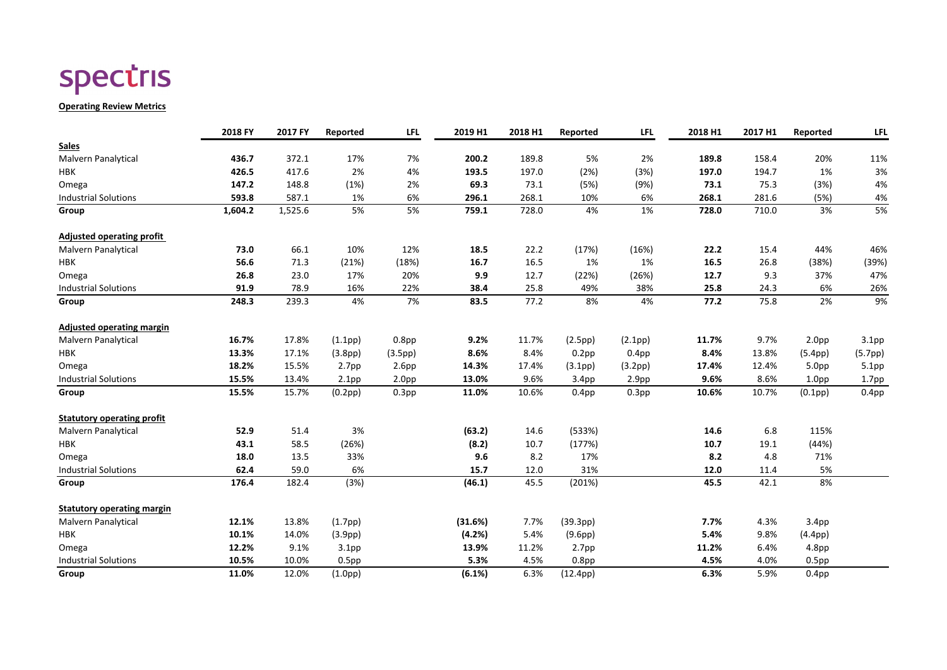# spectris

#### **Operating Review Metrics**

|                                   | 2018 FY | 2017 FY | Reported             | <b>LFL</b>        | 2019 H1 | 2018 H1 | Reported             | <b>LFL</b>        | 2018 H1 | 2017 H1 | Reported             | <b>LFL</b>        |
|-----------------------------------|---------|---------|----------------------|-------------------|---------|---------|----------------------|-------------------|---------|---------|----------------------|-------------------|
| <b>Sales</b>                      |         |         |                      |                   |         |         |                      |                   |         |         |                      |                   |
| <b>Malvern Panalytical</b>        | 436.7   | 372.1   | 17%                  | 7%                | 200.2   | 189.8   | 5%                   | 2%                | 189.8   | 158.4   | 20%                  | 11%               |
| <b>HBK</b>                        | 426.5   | 417.6   | 2%                   | 4%                | 193.5   | 197.0   | (2%)                 | (3%)              | 197.0   | 194.7   | 1%                   | 3%                |
| Omega                             | 147.2   | 148.8   | (1%)                 | 2%                | 69.3    | 73.1    | (5%)                 | (9%)              | 73.1    | 75.3    | (3%)                 | 4%                |
| <b>Industrial Solutions</b>       | 593.8   | 587.1   | 1%                   | 6%                | 296.1   | 268.1   | 10%                  | 6%                | 268.1   | 281.6   | (5%)                 | 4%                |
| Group                             | 1,604.2 | 1,525.6 | 5%                   | 5%                | 759.1   | 728.0   | 4%                   | 1%                | 728.0   | 710.0   | 3%                   | 5%                |
| <b>Adjusted operating profit</b>  |         |         |                      |                   |         |         |                      |                   |         |         |                      |                   |
| <b>Malvern Panalytical</b>        | 73.0    | 66.1    | 10%                  | 12%               | 18.5    | 22.2    | (17%)                | (16%)             | 22.2    | 15.4    | 44%                  | 46%               |
| <b>HBK</b>                        | 56.6    | 71.3    | (21%)                | (18%)             | 16.7    | 16.5    | 1%                   | 1%                | 16.5    | 26.8    | (38%)                | (39%)             |
| Omega                             | 26.8    | 23.0    | 17%                  | 20%               | 9.9     | 12.7    | (22%)                | (26%)             | 12.7    | 9.3     | 37%                  | 47%               |
| <b>Industrial Solutions</b>       | 91.9    | 78.9    | 16%                  | 22%               | 38.4    | 25.8    | 49%                  | 38%               | 25.8    | 24.3    | 6%                   | 26%               |
| Group                             | 248.3   | 239.3   | 4%                   | 7%                | 83.5    | 77.2    | 8%                   | 4%                | 77.2    | 75.8    | 2%                   | 9%                |
| <b>Adjusted operating margin</b>  |         |         |                      |                   |         |         |                      |                   |         |         |                      |                   |
| Malvern Panalytical               | 16.7%   | 17.8%   | (1.1pp)              | 0.8 <sub>pp</sub> | 9.2%    | 11.7%   | (2.5pp)              | (2.1pp)           | 11.7%   | 9.7%    | 2.0 <sub>pp</sub>    | 3.1 <sub>pp</sub> |
| <b>HBK</b>                        | 13.3%   | 17.1%   | (3.8pp)              | (3.5pp)           | 8.6%    | 8.4%    | $0.2$ pp             | 0.4 <sub>pp</sub> | 8.4%    | 13.8%   | (5.4pp)              | (5.7pp)           |
| Omega                             | 18.2%   | 15.5%   | 2.7 <sub>pp</sub>    | 2.6pp             | 14.3%   | 17.4%   | (3.1pp)              | (3.2pp)           | 17.4%   | 12.4%   | 5.0 <sub>pp</sub>    | 5.1pp             |
| <b>Industrial Solutions</b>       | 15.5%   | 13.4%   | 2.1 <sub>pp</sub>    | 2.0 <sub>pp</sub> | 13.0%   | 9.6%    | 3.4 <sub>pp</sub>    | 2.9 <sub>pp</sub> | 9.6%    | 8.6%    | 1.0 <sub>pp</sub>    | 1.7 <sub>pp</sub> |
| Group                             | 15.5%   | 15.7%   | (0.2pp)              | 0.3 <sub>pp</sub> | 11.0%   | 10.6%   | 0.4 <sub>pp</sub>    | 0.3 <sub>pp</sub> | 10.6%   | 10.7%   | (0.1 <sub>pp</sub> ) | 0.4 <sub>pp</sub> |
| <b>Statutory operating profit</b> |         |         |                      |                   |         |         |                      |                   |         |         |                      |                   |
| <b>Malvern Panalytical</b>        | 52.9    | 51.4    | 3%                   |                   | (63.2)  | 14.6    | (533%)               |                   | 14.6    | 6.8     | 115%                 |                   |
| <b>HBK</b>                        | 43.1    | 58.5    | (26%)                |                   | (8.2)   | 10.7    | (177%)               |                   | 10.7    | 19.1    | (44%)                |                   |
| Omega                             | 18.0    | 13.5    | 33%                  |                   | 9.6     | 8.2     | 17%                  |                   | 8.2     | 4.8     | 71%                  |                   |
| <b>Industrial Solutions</b>       | 62.4    | 59.0    | 6%                   |                   | 15.7    | 12.0    | 31%                  |                   | 12.0    | 11.4    | 5%                   |                   |
| Group                             | 176.4   | 182.4   | (3%)                 |                   | (46.1)  | 45.5    | (201%)               |                   | 45.5    | 42.1    | 8%                   |                   |
| <b>Statutory operating margin</b> |         |         |                      |                   |         |         |                      |                   |         |         |                      |                   |
| <b>Malvern Panalytical</b>        | 12.1%   | 13.8%   | (1.7pp)              |                   | (31.6%) | 7.7%    | (39.3pp)             |                   | 7.7%    | 4.3%    | 3.4 <sub>pp</sub>    |                   |
| <b>HBK</b>                        | 10.1%   | 14.0%   | (3.9 <sub>pp</sub> ) |                   | (4.2%)  | 5.4%    | (9.6 <sub>pp</sub> ) |                   | 5.4%    | 9.8%    | (4.4pp)              |                   |
| Omega                             | 12.2%   | 9.1%    | 3.1 <sub>pp</sub>    |                   | 13.9%   | 11.2%   | 2.7 <sub>pp</sub>    |                   | 11.2%   | 6.4%    | 4.8 <sub>pp</sub>    |                   |
| <b>Industrial Solutions</b>       | 10.5%   | 10.0%   | $0.5$ pp             |                   | 5.3%    | 4.5%    | 0.8 <sub>pp</sub>    |                   | 4.5%    | 4.0%    | 0.5 <sub>pp</sub>    |                   |
| Group                             | 11.0%   | 12.0%   | (1.0pp)              |                   | (6.1%)  | 6.3%    | (12.4pp)             |                   | 6.3%    | 5.9%    | $0.4$ pp             |                   |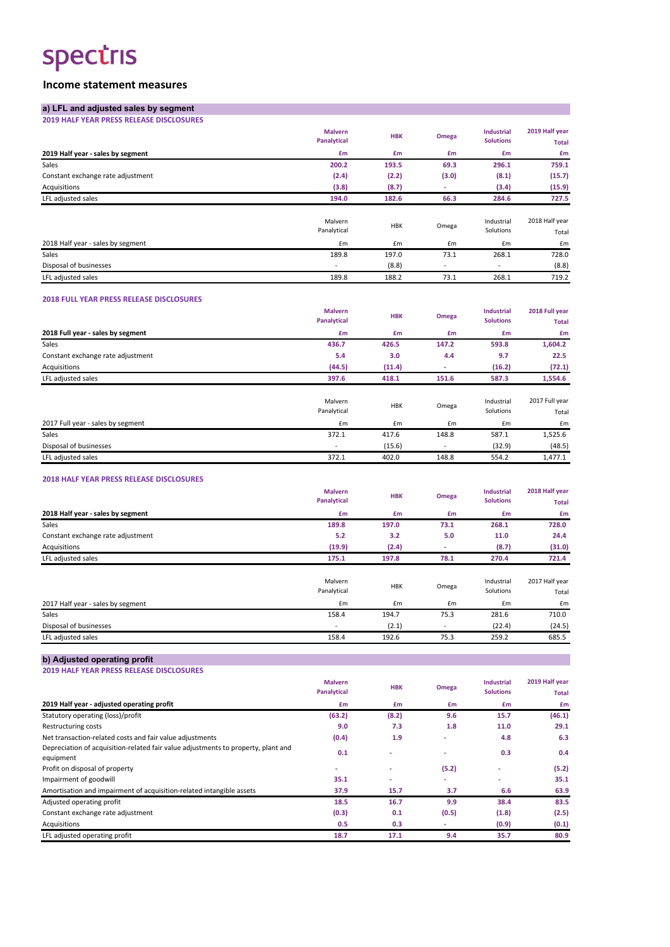# spectris

### **Income statement measures**

#### **2018 FULL YEAR PRESS RELEASE DISCLOSURES**

#### **2018 HALF YEAR PRESS RELEASE DISCLOSURES**

| a) LFL and adjusted sales by segment            |                                      |            |              |                                       |                                |
|-------------------------------------------------|--------------------------------------|------------|--------------|---------------------------------------|--------------------------------|
| <b>2019 HALF YEAR PRESS RELEASE DISCLOSURES</b> |                                      |            |              |                                       |                                |
|                                                 | <b>Malvern</b><br><b>Panalytical</b> | <b>HBK</b> | <b>Omega</b> | <b>Industrial</b><br><b>Solutions</b> | 2019 Half year<br><b>Total</b> |
| 2019 Half year - sales by segment               | £m                                   | £m         | £m           | £m                                    | £m                             |
| Sales                                           | 200.2                                | 193.5      | 69.3         | 296.1                                 | 759.1                          |
| Constant exchange rate adjustment               | (2.4)                                | (2.2)      | (3.0)        | (8.1)                                 | (15.7)                         |
| Acquisitions                                    | (3.8)                                | (8.7)      | ٠            | (3.4)                                 | (15.9)                         |
| LFL adjusted sales                              | 194.0                                | 182.6      | 66.3         | 284.6                                 | 727.5                          |
|                                                 | Malvern<br>Panalytical               | <b>HBK</b> | Omega        | Industrial<br>Solutions               | 2018 Half year<br>Total        |
| 2018 Half year - sales by segment               | £m                                   | £m         | £m           | £m                                    | £m                             |
| Sales                                           | 189.8                                | 197.0      | 73.1         | 268.1                                 | 728.0                          |
| Disposal of businesses                          |                                      | (8.8)      |              |                                       | (8.8)                          |
| LFL adjusted sales                              | 189.8                                | 188.2      | 73.1         | 268.1                                 | 719.2                          |

|                                   | <b>Malvern</b><br>Panalytical | <b>HBK</b> | Omega | <b>Industrial</b><br><b>Solutions</b> | 2018 Full year<br><b>Total</b> |
|-----------------------------------|-------------------------------|------------|-------|---------------------------------------|--------------------------------|
| 2018 Full year - sales by segment | £m                            | £m         | £m    | £m                                    | £m                             |
| Sales                             | 436.7                         | 426.5      | 147.2 | 593.8                                 | 1,604.2                        |
| Constant exchange rate adjustment | 5.4                           | 3.0        | 4.4   | 9.7                                   | 22.5                           |
| Acquisitions                      | (44.5)                        | (11.4)     |       | (16.2)                                | (72.1)                         |
| LFL adjusted sales                | 397.6                         | 418.1      | 151.6 | 587.3                                 | 1,554.6                        |
|                                   | Malvern<br>Panalytical        | <b>HBK</b> | Omega | Industrial<br>Solutions               | 2017 Full year<br>Total        |
| 2017 Full year - sales by segment | £m                            | £m         | £m    | Em                                    | £m                             |
| Sales                             | 372.1                         | 417.6      | 148.8 | 587.1                                 | 1,525.6                        |
| Disposal of businesses            |                               | (15.6)     |       | (32.9)                                | (48.5)                         |
| LFL adjusted sales                | 372.1                         | 402.0      | 148.8 | 554.2                                 | 1,477.1                        |

|                                   | <b>Malvern</b><br>Panalytical | <b>HBK</b> | Omega                    | <b>Industrial</b><br><b>Solutions</b> | 2018 Half year     |
|-----------------------------------|-------------------------------|------------|--------------------------|---------------------------------------|--------------------|
|                                   | £m                            | £m         | £m                       | £m                                    | <b>Total</b><br>£m |
| 2018 Half year - sales by segment |                               |            |                          |                                       |                    |
| Sales                             | 189.8                         | 197.0      | 73.1                     | 268.1                                 | 728.0              |
| Constant exchange rate adjustment | 5.2                           | 3.2        | 5.0                      | 11.0                                  | 24.4               |
| Acquisitions                      | (19.9)                        | (2.4)      | $\overline{\phantom{a}}$ | (8.7)                                 | (31.0)             |
| LFL adjusted sales                | 175.1                         | 197.8      | 78.1                     | 270.4                                 | 721.4              |
|                                   |                               |            |                          |                                       |                    |
|                                   | Malvern                       | <b>HBK</b> |                          | Industrial                            | 2017 Half year     |
|                                   | Panalytical                   |            | Omega                    | Solutions                             | Total              |
| 2017 Half year - sales by segment | £m                            | £m         | £m                       | Em                                    | £m                 |
| Sales                             | 158.4                         | 194.7      | 75.3                     | 281.6                                 | 710.0              |
| Disposal of businesses            |                               | (2.1)      | $\overline{\phantom{a}}$ | (22.4)                                | (24.5)             |
| LFL adjusted sales                | 158.4                         | 192.6      | 75.3                     | 259.2                                 | 685.5              |
|                                   |                               |            |                          |                                       |                    |

| b) Adjusted operating profit                    |                    |            |       |                   |                |
|-------------------------------------------------|--------------------|------------|-------|-------------------|----------------|
| <b>2019 HALF YEAR PRESS RELEASE DISCLOSURES</b> |                    |            |       |                   |                |
|                                                 | <b>Malvern</b>     | <b>HBK</b> | Omega | <b>Industrial</b> | 2019 Half year |
|                                                 | <b>Panalytical</b> |            |       | <b>Solutions</b>  | <b>Total</b>   |
| 2019 Half year - adjusted operating profit      | £m                 | £m         | £m    | £m                | £m             |

| Statutory operating (loss)/profit                                                              | (63.2) | (8.2)                    | 9.6   | 15.7  | (46.1) |
|------------------------------------------------------------------------------------------------|--------|--------------------------|-------|-------|--------|
| Restructuring costs                                                                            | 9.0    | 7.3                      | 1.8   | 11.0  | 29.1   |
| Net transaction-related costs and fair value adjustments                                       | (0.4)  | 1.9                      |       | 4.8   | 6.3    |
| Depreciation of acquisition-related fair value adjustments to property, plant and<br>equipment | 0.1    |                          |       | 0.3   | 0.4    |
| Profit on disposal of property                                                                 |        | $\overline{\phantom{a}}$ | (5.2) |       | (5.2)  |
| Impairment of goodwill                                                                         | 35.1   | $\overline{\phantom{a}}$ |       |       | 35.1   |
| Amortisation and impairment of acquisition-related intangible assets                           | 37.9   | 15.7                     | 3.7   | 6.6   | 63.9   |
| Adjusted operating profit                                                                      | 18.5   | 16.7                     | 9.9   | 38.4  | 83.5   |
| Constant exchange rate adjustment                                                              | (0.3)  | 0.1                      | (0.5) | (1.8) | (2.5)  |
| Acquisitions                                                                                   | 0.5    | 0.3                      |       | (0.9) | (0.1)  |
| LFL adjusted operating profit                                                                  | 18.7   | 17.1                     | 9.4   | 35.7  | 80.9   |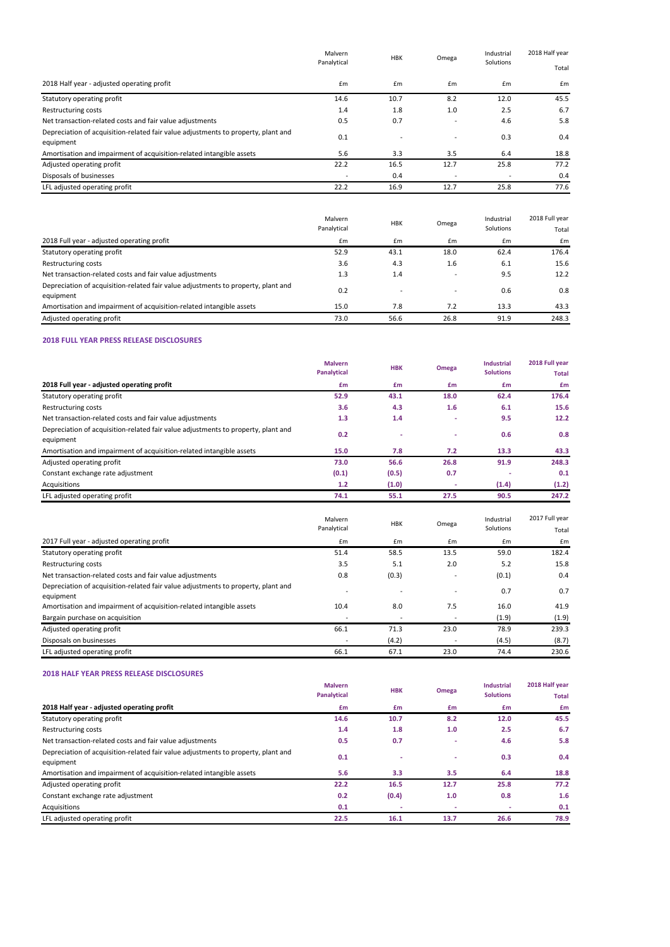#### **2018 FULL YEAR PRESS RELEASE DISCLOSURES**

|                                                                                                | Malvern<br>Panalytical   | <b>HBK</b><br>£m<br>£m | Omega                    | Industrial<br>Solutions<br>Em | 2018 Half year |  |
|------------------------------------------------------------------------------------------------|--------------------------|------------------------|--------------------------|-------------------------------|----------------|--|
|                                                                                                |                          |                        |                          |                               | Total          |  |
| 2018 Half year - adjusted operating profit                                                     |                          |                        | $\mathbf{f}$ m           |                               | £m             |  |
| Statutory operating profit                                                                     | 14.6                     | 10.7                   | 8.2                      | 12.0                          | 45.5           |  |
| Restructuring costs                                                                            | 1.4                      | 1.8                    | 1.0                      | 2.5                           | 6.7            |  |
| Net transaction-related costs and fair value adjustments                                       | 0.5                      | 0.7                    |                          | 4.6                           | 5.8            |  |
| Depreciation of acquisition-related fair value adjustments to property, plant and<br>equipment | 0.1                      |                        | $\overline{\phantom{0}}$ | 0.3                           | 0.4            |  |
| Amortisation and impairment of acquisition-related intangible assets                           | 5.6                      | 3.3                    | 3.5                      | 6.4                           | 18.8           |  |
| Adjusted operating profit                                                                      | 22.2                     | 16.5                   | 12.7                     | 25.8                          | 77.2           |  |
| Disposals of businesses                                                                        | $\overline{\phantom{a}}$ | 0.4                    |                          | $\overline{\phantom{a}}$      | 0.4            |  |
| LFL adjusted operating profit                                                                  | 22.2                     | 16.9                   | 12.7                     | 25.8                          | 77.6           |  |

|                                                                                                | Malvern<br>Panalytical | <b>HBK</b> | Omega          | Industrial<br>Solutions | 2018 Full year<br>Total |
|------------------------------------------------------------------------------------------------|------------------------|------------|----------------|-------------------------|-------------------------|
| 2018 Full year - adjusted operating profit                                                     | £m                     | Em         | $\mathbf{f}$ m | Em                      | $\mathsf{fm}$           |
| Statutory operating profit                                                                     | 52.9                   | 43.1       | 18.0           | 62.4                    | 176.4                   |
| Restructuring costs                                                                            | 3.6                    | 4.3        | 1.6            | 6.1                     | 15.6                    |
| Net transaction-related costs and fair value adjustments                                       | 1.3                    | 1.4        |                | 9.5                     | 12.2                    |
| Depreciation of acquisition-related fair value adjustments to property, plant and<br>equipment | 0.2                    |            |                | 0.6                     | 0.8                     |
| Amortisation and impairment of acquisition-related intangible assets                           | 15.0                   | 7.8        | 7.2            | 13.3                    | 43.3                    |
| Adjusted operating profit                                                                      | 73.0                   | 56.6       | 26.8           | 91.9                    | 248.3                   |

|                                                                                                | <b>Malvern</b><br>Panalytical | <b>HBK</b> | <b>Omega</b> | <b>Industrial</b><br><b>Solutions</b> | 2018 Full year<br><b>Total</b> |
|------------------------------------------------------------------------------------------------|-------------------------------|------------|--------------|---------------------------------------|--------------------------------|
| 2018 Full year - adjusted operating profit                                                     | £m                            | £m         | £m           | £m                                    | £m                             |
| Statutory operating profit                                                                     | 52.9                          | 43.1       | 18.0         | 62.4                                  | 176.4                          |
| Restructuring costs                                                                            | 3.6                           | 4.3        | 1.6          | 6.1                                   | 15.6                           |
| Net transaction-related costs and fair value adjustments                                       | 1.3                           | 1.4        | ۰            | 9.5                                   | 12.2                           |
| Depreciation of acquisition-related fair value adjustments to property, plant and<br>equipment | 0.2                           |            | ۰            | 0.6                                   | 0.8                            |
| Amortisation and impairment of acquisition-related intangible assets                           | 15.0                          | 7.8        | 7.2          | 13.3                                  | 43.3                           |
| Adjusted operating profit                                                                      | 73.0                          | 56.6       | 26.8         | 91.9                                  | 248.3                          |
| Constant exchange rate adjustment                                                              | (0.1)                         | (0.5)      | 0.7          |                                       | 0.1                            |
| Acquisitions                                                                                   | 1.2                           | (1.0)      | ٠            | (1.4)                                 | (1.2)                          |
| LFL adjusted operating profit                                                                  | 74.1                          | 55.1       | 27.5         | 90.5                                  | 247.2                          |

#### **2018 HALF YEAR PRESS RELEASE DISCLOSURES**

|                                                                                                | Malvern<br>Panalytical | <b>HBK</b> | Omega                    | Industrial<br>Solutions | 2017 Full year<br>Total |
|------------------------------------------------------------------------------------------------|------------------------|------------|--------------------------|-------------------------|-------------------------|
| 2017 Full year - adjusted operating profit                                                     | Em                     | £m         | £m                       | £m                      | £m                      |
| Statutory operating profit                                                                     | 51.4                   | 58.5       | 13.5                     | 59.0                    | 182.4                   |
| Restructuring costs                                                                            | 3.5                    | 5.1        | 2.0                      | 5.2                     | 15.8                    |
| Net transaction-related costs and fair value adjustments                                       | 0.8                    | (0.3)      |                          | (0.1)                   | 0.4                     |
| Depreciation of acquisition-related fair value adjustments to property, plant and<br>equipment |                        |            | $\overline{\phantom{0}}$ | 0.7                     | 0.7                     |
| Amortisation and impairment of acquisition-related intangible assets                           | 10.4                   | 8.0        | 7.5                      | 16.0                    | 41.9                    |
| Bargain purchase on acquisition                                                                |                        |            | $\overline{\phantom{a}}$ | (1.9)                   | (1.9)                   |
| Adjusted operating profit                                                                      | 66.1                   | 71.3       | 23.0                     | 78.9                    | 239.3                   |
| Disposals on businesses                                                                        |                        | (4.2)      |                          | (4.5)                   | (8.7)                   |
| LFL adjusted operating profit                                                                  | 66.1                   | 67.1       | 23.0                     | 74.4                    | 230.6                   |

|                                                                                                | <b>Malvern</b><br><b>Panalytical</b> | <b>HBK</b> | Omega | <b>Industrial</b><br><b>Solutions</b> | 2018 Half year<br><b>Total</b> |
|------------------------------------------------------------------------------------------------|--------------------------------------|------------|-------|---------------------------------------|--------------------------------|
| 2018 Half year - adjusted operating profit                                                     | £m                                   | £m         | £m    | £m                                    | £m                             |
| Statutory operating profit                                                                     | 14.6                                 | 10.7       | 8.2   | 12.0                                  | 45.5                           |
| Restructuring costs                                                                            | 1.4                                  | 1.8        | 1.0   | 2.5                                   | 6.7                            |
| Net transaction-related costs and fair value adjustments                                       | 0.5                                  | 0.7        | ٠     | 4.6                                   | 5.8                            |
| Depreciation of acquisition-related fair value adjustments to property, plant and<br>equipment | 0.1                                  |            | ۰     | 0.3                                   | 0.4                            |
| Amortisation and impairment of acquisition-related intangible assets                           | 5.6                                  | 3.3        | 3.5   | 6.4                                   | 18.8                           |
| Adjusted operating profit                                                                      | 22.2                                 | 16.5       | 12.7  | 25.8                                  | 77.2                           |
| Constant exchange rate adjustment                                                              | 0.2                                  | (0.4)      | 1.0   | 0.8                                   | 1.6                            |
| Acquisitions                                                                                   | 0.1                                  |            |       |                                       | 0.1                            |
| LFL adjusted operating profit                                                                  | 22.5                                 | 16.1       | 13.7  | 26.6                                  | 78.9                           |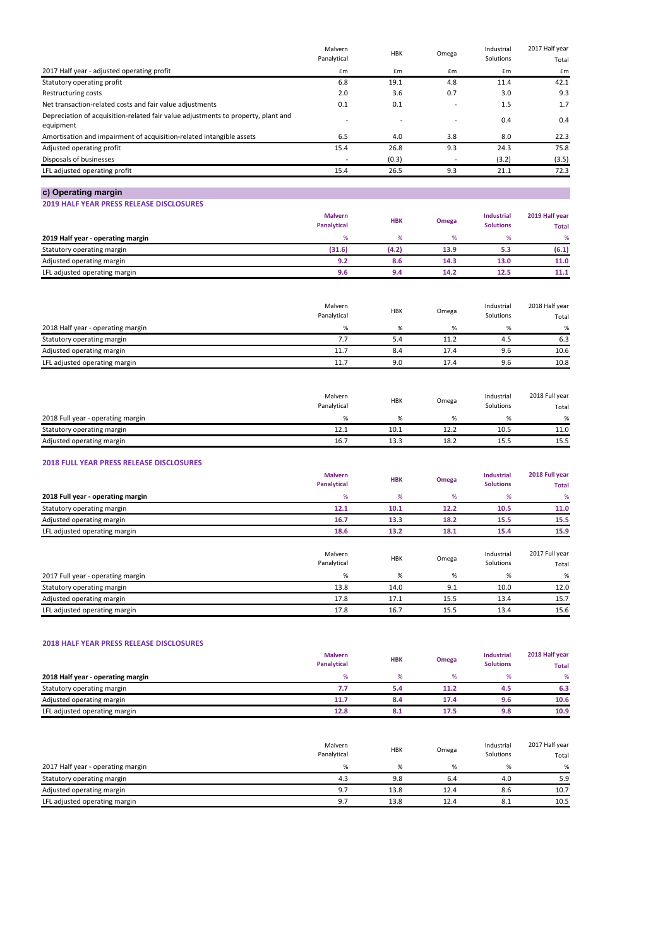### **c) Operating margin**

**2019 HALF YEAR PRESS RELEASE DISCLOSURES**

#### **2018 FULL YEAR PRESS RELEASE DISCLOSURES**

|                                                                                   | Malvern<br>Panalytical | <b>HBK</b> | Omega                    | Industrial<br>Solutions | 2017 Half year |
|-----------------------------------------------------------------------------------|------------------------|------------|--------------------------|-------------------------|----------------|
|                                                                                   |                        |            |                          |                         | Total          |
| 2017 Half year - adjusted operating profit                                        | Em                     | Em         | £m                       | Em                      | £m             |
| Statutory operating profit                                                        | 6.8                    | 19.1       | 4.8                      | 11.4                    | 42.1           |
| Restructuring costs                                                               | 2.0                    | 3.6        | 0.7                      | 3.0                     | 9.3            |
| Net transaction-related costs and fair value adjustments                          | 0.1                    | 0.1        | $\overline{\phantom{0}}$ | 1.5                     | 1.7            |
| Depreciation of acquisition-related fair value adjustments to property, plant and |                        |            |                          | 0.4                     | 0.4            |
| equipment                                                                         |                        |            |                          |                         |                |
| Amortisation and impairment of acquisition-related intangible assets              | 6.5                    | 4.0        | 3.8                      | 8.0                     | 22.3           |
| Adjusted operating profit                                                         | 15.4                   | 26.8       | 9.3                      | 24.3                    | 75.8           |
| Disposals of businesses                                                           |                        | (0.3)      |                          | (3.2)                   | (3.5)          |
| LFL adjusted operating profit                                                     | 15.4                   | 26.5       | 9.3                      | 21.1                    | 72.3           |
|                                                                                   |                        |            |                          |                         |                |

|                                   | <b>Malvern</b><br><b>Panalytical</b> | <b>HBK</b> | Omega | <b>Industrial</b><br><b>Solutions</b> | 2019 Half year<br><b>Total</b> |
|-----------------------------------|--------------------------------------|------------|-------|---------------------------------------|--------------------------------|
| 2019 Half year - operating margin | $\%$                                 |            | %     | %                                     | $\%$                           |
| Statutory operating margin        | (31.6)                               | (4.2)      | 13.9  | 5.3                                   | (6.1)                          |
| Adjusted operating margin         | 9.2                                  | 8.6        | 14.3  | 13.0                                  | 11.0                           |
| LFL adjusted operating margin     | 9.6                                  | 9.4        | 14.2  | 12.5                                  | 11.1                           |

|                                   | Malvern     | <b>HBK</b> |       | Industrial | 2018 Full year |
|-----------------------------------|-------------|------------|-------|------------|----------------|
|                                   | Panalytical |            | Omega | Solutions  | Total          |
| 2018 Full year - operating margin |             |            | %     | %          | %              |
| Statutory operating margin        | 12.1        | 10.1       | 12.2  | 10.5       | 11.0           |
| Adjusted operating margin         | 16.7        | 13.3       | 18.2  | 15.5       | 15.5           |

#### **2018 HALF YEAR PRESS RELEASE DISCLOSURES**

|                                   | Malvern     | <b>HBK</b> | Omega | Industrial | 2018 Half year |  |
|-----------------------------------|-------------|------------|-------|------------|----------------|--|
|                                   | Panalytical |            |       | Solutions  | Total          |  |
| 2018 Half year - operating margin | %           | %          | %     | %          | %              |  |
| Statutory operating margin        | 7.7         | 5.4        | 11.2  | 4.5        | 6.3            |  |
| Adjusted operating margin         | 11.7        | 8.4        | 17.4  | 9.6        | 10.6           |  |
| LFL adjusted operating margin     | 11.7        | 9.0        | 17.4  | 9.6        | 10.8           |  |

|                                   | <b>Malvern</b>     | <b>HBK</b> | Omega | <b>Industrial</b> | 2018 Full year |  |
|-----------------------------------|--------------------|------------|-------|-------------------|----------------|--|
|                                   | <b>Panalytical</b> |            |       | <b>Solutions</b>  | <b>Total</b>   |  |
| 2018 Full year - operating margin |                    |            | %     |                   | %              |  |
| Statutory operating margin        | 12.1               | 10.1       | 12.2  | 10.5              | 11.0           |  |
| Adjusted operating margin         | 16.7               | 13.3       | 18.2  | 15.5              | 15.5           |  |
| LFL adjusted operating margin     | 18.6               | 13.2       | 18.1  | 15.4              | 15.9           |  |

|                                   | Malvern<br>Panalytical | <b>HBK</b> | Omega | Industrial<br>Solutions | 2017 Full year<br>Total |
|-----------------------------------|------------------------|------------|-------|-------------------------|-------------------------|
| 2017 Full year - operating margin | %                      |            | %     | %                       | %                       |
| Statutory operating margin        | 13.8                   | 14.0       | 9.1   | 10.0                    | 12.0                    |
| Adjusted operating margin         | 17.8                   | 17.1       | 15.5  | 13.4                    | 15.7                    |
| LFL adjusted operating margin     | 17.8                   | 16.7       | 15.5  | 13.4                    | 15.6                    |

|                                   | Malvern     | <b>HBK</b> | Omega | Industrial | 2017 Half year |  |
|-----------------------------------|-------------|------------|-------|------------|----------------|--|
|                                   | Panalytical |            |       | Solutions  | Total          |  |
| 2017 Half year - operating margin | %           |            | %     | %          | %              |  |
| Statutory operating margin        | 4.3         | 9.8        | 6.4   | 4.0        | 5.9            |  |
| Adjusted operating margin         | 9.7         | 13.8       | 12.4  | 8.6        | 10.7           |  |
| LFL adjusted operating margin     | 9.7         | 13.8       | 12.4  | 8.1        | 10.5           |  |

|                                   | <b>Malvern</b><br>Panalytical | <b>HBK</b> | Omega | <b>Industrial</b><br><b>Solutions</b> | 2018 Half year<br><b>Total</b> |
|-----------------------------------|-------------------------------|------------|-------|---------------------------------------|--------------------------------|
| 2018 Half year - operating margin | $\frac{0}{6}$                 |            | %     |                                       | %                              |
| Statutory operating margin        | 7.7                           | 5.4        | 11.2  | 4.5                                   | 6.3                            |
| Adjusted operating margin         | 11.7                          | 8.4        | 17.4  | 9.6                                   | 10.6                           |
| LFL adjusted operating margin     | 12.8                          | 8.1        | 17.5  | 9.8                                   | 10.9                           |